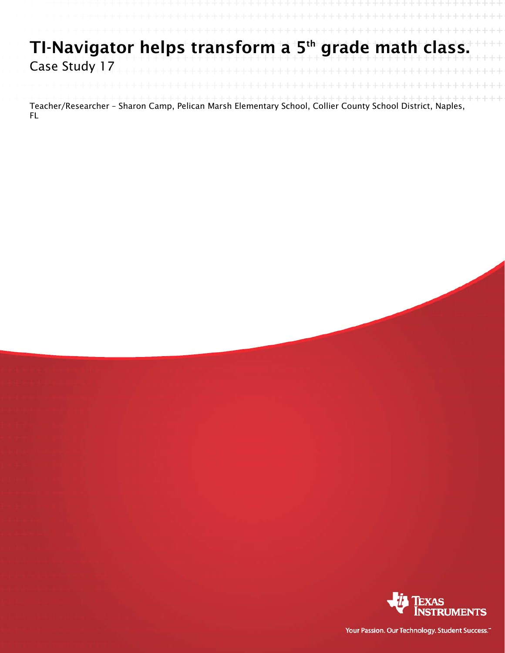## TI-Navigator helps transform a 5<sup>th</sup> grade math class. Case Study 17

Teacher/Researcher – Sharon Camp, Pelican Marsh Elementary School, Collier County School District, Naples, FL



Your Passion. Our Technology. Student Success."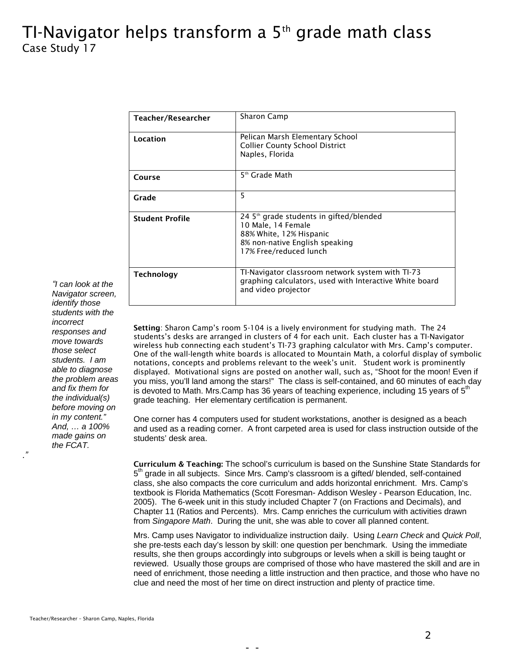## TI-Navigator helps transform a  $5<sup>th</sup>$  grade math class Case Study 17

| Teacher/Researcher     | <b>Sharon Camp</b>                                                                                                                                               |
|------------------------|------------------------------------------------------------------------------------------------------------------------------------------------------------------|
| Location               | Pelican Marsh Elementary School<br><b>Collier County School District</b><br>Naples, Florida                                                                      |
| Course                 | 5 <sup>th</sup> Grade Math                                                                                                                                       |
| Grade                  | 5                                                                                                                                                                |
| <b>Student Profile</b> | 24 5 <sup>th</sup> grade students in gifted/blended<br>10 Male, 14 Female<br>88% White, 12% Hispanic<br>8% non-native English speaking<br>17% Free/reduced lunch |
| <b>Technology</b>      | TI-Navigator classroom network system with TI-73<br>graphing calculators, used with Interactive White board<br>and video projector                               |

*"I can look at the Navigator screen, identify those students with the incorrect responses and move towards those select students. I am able to diagnose the problem areas and fix them for the individual(s) before moving on in my content." And, … a 100% made gains on the FCAT.* 

*."* 

Setting: Sharon Camp's room 5-104 is a lively environment for studying math. The 24 students's desks are arranged in clusters of 4 for each unit. Each cluster has a TI-Navigator wireless hub connecting each student's TI-73 graphing calculator with Mrs. Camp's computer. One of the wall-length white boards is allocated to Mountain Math, a colorful display of symbolic notations, concepts and problems relevant to the week's unit. Student work is prominently displayed. Motivational signs are posted on another wall, such as, "Shoot for the moon! Even if you miss, you'll land among the stars!" The class is self-contained, and 60 minutes of each day is devoted to Math. Mrs.Camp has 36 years of teaching experience, including 15 years of  $5<sup>th</sup>$ grade teaching. Her elementary certification is permanent.

One corner has 4 computers used for student workstations, another is designed as a beach and used as a reading corner. A front carpeted area is used for class instruction outside of the students' desk area.

Curriculum & Teaching: The school's curriculum is based on the Sunshine State Standards for  $5<sup>th</sup>$  grade in all subjects. Since Mrs. Camp's classroom is a gifted/ blended, self-contained class, she also compacts the core curriculum and adds horizontal enrichment. Mrs. Camp's textbook is Florida Mathematics (Scott Foresman- Addison Wesley - Pearson Education, Inc. 2005). The 6-week unit in this study included Chapter 7 (on Fractions and Decimals), and Chapter 11 (Ratios and Percents). Mrs. Camp enriches the curriculum with activities drawn from *Singapore Math*. During the unit, she was able to cover all planned content.

Mrs. Camp uses Navigator to individualize instruction daily. Using *Learn Check* and *Quick Poll*, she pre-tests each day's lesson by skill: one question per benchmark. Using the immediate results, she then groups accordingly into subgroups or levels when a skill is being taught or reviewed. Usually those groups are comprised of those who have mastered the skill and are in need of enrichment, those needing a little instruction and then practice, and those who have no clue and need the most of her time on direct instruction and plenty of practice time.

- -